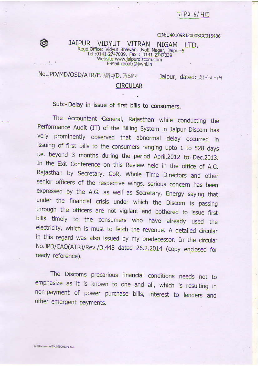$JPD-6/413$ 

### CIN:U40109RJ2000SGC016486

# JAIPUR VIDYUT VITRAN PUR VIDYUT VITRAN NIGAM LTD.<br>Regd.Office: Vidyut Bhawan, Jyoti Nagar, Jaipur-5<br>Tal :0141.3347.8h wan, Jyoti Nagar, Jaipur-5 et.:0141-2747039, Fax : 0141-2747039<br>et.:0141-2747039, Fax : 0141-2747039<br>Website:www.jaipurdiscom.com Website:www.jaipurdiscom.com<br>E-Mail:caoatr@jvvnl.in

# No.JPD/MD/OSD/ATR/F.389 7D. 3584 Jaipur, dated: 21-10-14

Ø

### **CIRCULAR**

Sub:-Delay in issue of first bills to consumers.

The Accountant General, Rajasthan while conducting the Performance Audit (IT) of the Billing System in Jaipur Discom has very prominently observed that abnormal delay occurred in issuing of first bills to the consumers ranging upto 1 to 528 days i.e. beyond 3 months during the period April, 2012 to Dec. 2013. In the Exit Conference on this Review held in the office of A.G. Rajasthan by Secretary, GoR, Whole Time Directors and other senior officers of the respective wings, serious concern has been expressed by the A.G. as well as Secretary, Energy saying that under the financial crisis under which the Discom is passing through the officers are not vigilant and bothered to issue first bills timely to the consumers who have already used the electricity, which is must to fetch the revenue. A detailed circular in this regard was also issued by my predecessor. In the circular No.JPD/CAO(ATR)/Rev./D.448 dated 26.2.2014 (copy enclosed for ready reference).

The Discoms precarious financial conditions needs not to emphasize as it is known to one and all, which is resulting in non-payment of power purchase bills, interest to lenders and other emergent payments.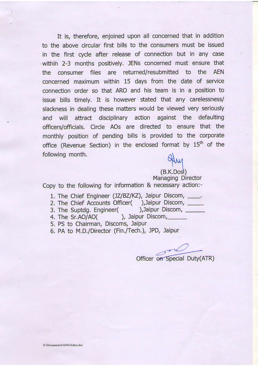It is, therefore, enjoined upon all concerned that in addition to the above circular first bills to the consumers must be issued in the flrst cycle after release of connection but in any case -within 2-3 months positively. JENs concerned must ensure that the consumer files are returned/resubmitted to the AEN concerned maximum within 15 days from the date of service connection order so that ARo and his team is in a positjon to issue bills timely. lt is however stated that any carelessness/ slackness in dealing these matters would be viewed very seriously and will attract disciplinary action against the defaulting officers/officials. Circle AOs are directed to ensure that the monthly position of pending bills is provided to the corporate office (Revenue Section) in the enclosed format by  $15<sup>th</sup>$  of the following month.

 $(B.K.D$ osi $)$ 

Managing Director Copy to the following for information & necessary action:-

- 1. The Chief Engineer (JZ/BZ/KZ), Jaipur Discom, \_\_\_\_.
- 2. The Chief Accounts Officer(
), Jaipur Discom,
<br>
3. The Suptda. Engineer(
), Jaipur Discom,
- 3. The Suptdg. Engineer(<br>4. The Sr.AO/AO()
- ), Jaipur Discom,
- 5. PS to Chairman, Discoms, laipur
- 6. PA to M.D./Director (Fin./Tech.), JPD, Jaipur

Officer on Special Duty(ATR)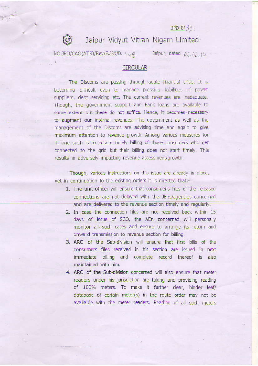$IPD-6/39$ 

Jaipur Vidyut Vitran Nigam Limited

NO.JPD/CAO(ATR)/Rev/F.385/D. 449.

 $\mathbb{G}$ 

Jaipur, dated 26.02.14

## **CIRCULAR**

The Discoms are passing through acute financial crisis. It is becoming difficult even to manage pressing liabilities of power suppliers, debt servicing etc. The current revenues are inadequate. Though, the government support and Bank loans are available to some extent but these do not suffice. Hence, it becomes necessary to augment our internal revenues. The government as well as the management of the Discoms are advising time and again to give maximum attention to revenue growth. Among various measures for it, one such is to ensure timely billing of those consumers who get connected to the grid but their billing does not start timely. This results in adversely impacting revenue assessment/growth.

Though, various instructions on this issue are already in place, yet in continuation to the existing orders it is directed that:-

- 1. The unit officer will ensure that consumer's files of the released connections are not delayed with the JEns/agencies concerned and are delivered to the revenue section timely and regularly.
- 2. In case the connection files are not received back within 15 days of issue of SCO, the AEn concerned will personally monitor all such cases and ensure to arrange its return and onward transmission to revenue section for billing.
- 3. ARO of the Sub-division will ensure that first bills of the consumers files received in his section are issued in next immediate billing and complete record thereof is also maintained with him.
- 4. ARO of the Sub-division concerned will also ensure that meter readers under his jurisdiction are taking and providing reading of 100% meters. To make it further clear, binder leaf/ database of certain meter(s) in the route order may not be available with the meter readers. Reading of all such meters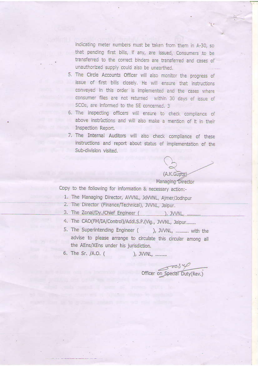indicating meter numbers must be taken from them in A-30, so that pending first bills, if any, are issued, Consumers to be transferred to the correct binders are transferred and cases of unauthorized supply could also be unearthed.

- 5. The Circle Accounts Officer will also monitor the progress of issue of first bills closely. He will ensure that instructions conveyed in this order is implemented and the cases where consumer files are not returned within 30 days of issue of SCOs, are informed to the SE concerned. 3
- 6. The inspecting officers will ensure to check compliance of above instructions and will also make a mention of it in their Inspection Report.
- 7. The Internal Auditors will also check compliance of these instructions and report about status of implementation of the Sub-division visited.

 $(A.K.Gu<sub>0</sub>)$ Managing Director

Copy to the following for information & necessary action:-

- 1. The Managing Director, AVVNL, JdVVNL, Ajmer/Jodhpur
- 2. The Director (Finance/Technical), JVVNL, Jaipur.
- 3. The Zonal/Dy./Chief Engineer ( ),  $JWNL$ , ...........
- 4. The CAO(FM/IA/Control)/Addl.S.P.(Vig., JVVNL, Jaipur........
- 5. The Superintending Engineer ( ), JVVNL, ........... with the advise to please arrange to circulate this circular among all the AEns/XEns under his jurisdiction.
- 6. The Sr. /A.O. ( ), JVVNL, .........

Officer on Special Duty(Rev.)